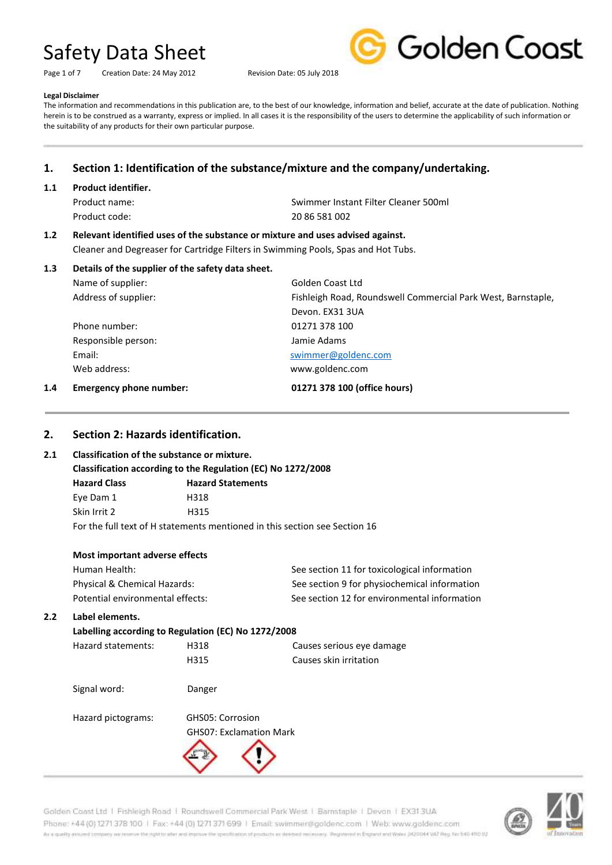Page 1 of 7 Creation Date: 24 May 2012 Revision Date: 05 July 2018



#### **Legal Disclaimer**

The information and recommendations in this publication are, to the best of our knowledge, information and belief, accurate at the date of publication. Nothing herein is to be construed as a warranty, express or implied. In all cases it is the responsibility of the users to determine the applicability of such information or the suitability of any products for their own particular purpose.

# **1. Section 1: Identification of the substance/mixture and the company/undertaking.**

#### **1.1 Product identifier.**

Product code: 20 86 581 002

Product name: Swimmer Instant Filter Cleaner 500ml

# **1.2 Relevant identified uses of the substance or mixture and uses advised against.**

Cleaner and Degreaser for Cartridge Filters in Swimming Pools, Spas and Hot Tubs.

| 1.3 | Details of the supplier of the safety data sheet. |                                                              |  |  |
|-----|---------------------------------------------------|--------------------------------------------------------------|--|--|
|     | Name of supplier:                                 | Golden Coast Ltd                                             |  |  |
|     | Address of supplier:                              | Fishleigh Road, Roundswell Commercial Park West, Barnstaple, |  |  |
|     |                                                   | Devon, EX31 3UA                                              |  |  |
|     | Phone number:                                     | 01271 378 100                                                |  |  |
|     | Responsible person:                               | Jamie Adams                                                  |  |  |
|     | Email:                                            | swimmer@goldenc.com                                          |  |  |
|     | Web address:                                      | www.goldenc.com                                              |  |  |
| 1.4 | Emergency phone number:                           | 01271 378 100 (office hours)                                 |  |  |

# **2. Section 2: Hazards identification.**

# **2.1 Classification of the substance or mixture.**

**Classification according to the Regulation (EC) No 1272/2008**

| <b>Hazard Class</b>                                                        | <b>Hazard Statements</b> |  |  |
|----------------------------------------------------------------------------|--------------------------|--|--|
| Eye Dam 1                                                                  | H318                     |  |  |
| Skin Irrit 2                                                               | H315                     |  |  |
| For the full text of H statements mentioned in this section see Section 16 |                          |  |  |

| Most important adverse effects |                            |  |
|--------------------------------|----------------------------|--|
| Human Health:                  | See section 11 for toxicol |  |
| Physical & Chemical Hazards:   | See section 9 for physioc  |  |

logical information hemical information Potential environmental effects: See section 12 for environmental information

# **2.2 Label elements.**

# **Labelling according to Regulation (EC) No 1272/2008**

Hazard statements: H318 Causes serious eye damage

H315 Causes skin irritation

Signal word: Danger



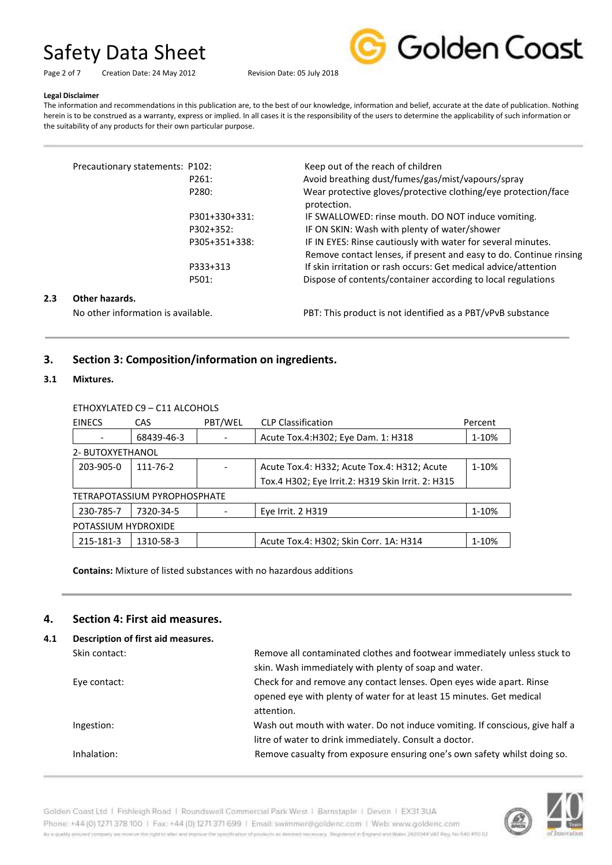Page 2 of 7 Creation Date: 24 May 2012 Revision Date: 05 July 2018



# **Legal Disclaimer**

The information and recommendations in this publication are, to the best of our knowledge, information and belief, accurate at the date of publication. Nothing herein is to be construed as a warranty, express or implied. In all cases it is the responsibility of the users to determine the applicability of such information or the suitability of any products for their own particular purpose.

|     | Precautionary statements: P102:    |               | Keep out of the reach of children                                                                                                  |
|-----|------------------------------------|---------------|------------------------------------------------------------------------------------------------------------------------------------|
|     |                                    | P261:         | Avoid breathing dust/fumes/gas/mist/vapours/spray                                                                                  |
|     |                                    | P280:         | Wear protective gloves/protective clothing/eye protection/face<br>protection.                                                      |
|     |                                    | P301+330+331: | IF SWALLOWED: rinse mouth. DO NOT induce vomiting.                                                                                 |
|     |                                    | P302+352:     | IF ON SKIN: Wash with plenty of water/shower                                                                                       |
|     |                                    | P305+351+338: | IF IN EYES: Rinse cautiously with water for several minutes.<br>Remove contact lenses, if present and easy to do. Continue rinsing |
|     |                                    | P333+313      | If skin irritation or rash occurs: Get medical advice/attention                                                                    |
|     |                                    | P501:         | Dispose of contents/container according to local regulations                                                                       |
| 2.3 | Other hazards.                     |               |                                                                                                                                    |
|     | No other information is available. |               | PBT: This product is not identified as a PBT/vPvB substance                                                                        |

# **3. Section 3: Composition/information on ingredients.**

#### **3.1 Mixtures.**

#### ETHOXYLATED C9 – C11 ALCOHOLS

| <b>EINECS</b>                | CAS        | PBT/WEL | <b>CLP Classification</b>                         | Percent |
|------------------------------|------------|---------|---------------------------------------------------|---------|
|                              | 68439-46-3 |         | Acute Tox.4: H302; Eye Dam. 1: H318               | 1-10%   |
| 2- BUTOXYETHANOL             |            |         |                                                   |         |
| 203-905-0                    | 111-76-2   |         | Acute Tox.4: H332; Acute Tox.4: H312; Acute       | 1-10%   |
|                              |            |         | Tox.4 H302; Eye Irrit.2: H319 Skin Irrit. 2: H315 |         |
| TETRAPOTASSIUM PYROPHOSPHATE |            |         |                                                   |         |
| 230-785-7                    | 7320-34-5  |         | Eye Irrit. 2 H319                                 | 1-10%   |
| POTASSIUM HYDROXIDE          |            |         |                                                   |         |
| 215-181-3                    | 1310-58-3  |         | Acute Tox.4: H302; Skin Corr. 1A: H314            | 1-10%   |

**Contains:** Mixture of listed substances with no hazardous additions

#### **4. Section 4: First aid measures.**

| 4.1 | Description of first aid measures. |                                                                              |  |  |
|-----|------------------------------------|------------------------------------------------------------------------------|--|--|
|     | Skin contact:                      | Remove all contaminated clothes and footwear immediately unless stuck to     |  |  |
|     |                                    | skin. Wash immediately with plenty of soap and water.                        |  |  |
|     | Eye contact:                       | Check for and remove any contact lenses. Open eyes wide apart. Rinse         |  |  |
|     |                                    | opened eye with plenty of water for at least 15 minutes. Get medical         |  |  |
|     |                                    | attention.                                                                   |  |  |
|     | Ingestion:                         | Wash out mouth with water. Do not induce vomiting. If conscious, give half a |  |  |
|     |                                    | litre of water to drink immediately. Consult a doctor.                       |  |  |
|     | Inhalation:                        | Remove casualty from exposure ensuring one's own safety whilst doing so.     |  |  |
|     |                                    |                                                                              |  |  |



Golden Coast Ltd | Fishleigh Road | Roundswell Commercial Park West | Barnstaple | Devon | EX313UA Phone: +44 (0) 1271 378 100 | Fax: +44 (0) 1271 371 699 | Email: swimmer@goldenc.com | Web: www.goldenc.com As a quality ensured company we reserve the right to after and enprice the specification of products as deepent recessary. Registered in England and Wales (AQDO44 VAT Reg. Just 540-410 D2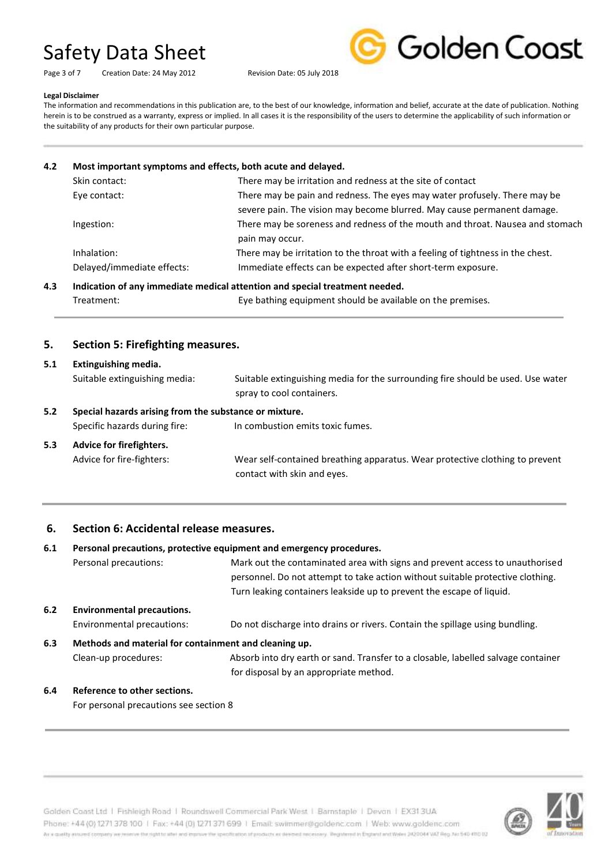| Page 3 of 7 | Creation Date: 24 May 2012 |  |  |
|-------------|----------------------------|--|--|
|             |                            |  |  |



#### **Legal Disclaimer**

The information and recommendations in this publication are, to the best of our knowledge, information and belief, accurate at the date of publication. Nothing herein is to be construed as a warranty, express or implied. In all cases it is the responsibility of the users to determine the applicability of such information or the suitability of any products for their own particular purpose.

Revision Date: 05 July 2018

| 4.2 |                            | Most important symptoms and effects, both acute and delayed.                    |  |  |
|-----|----------------------------|---------------------------------------------------------------------------------|--|--|
|     | Skin contact:              | There may be irritation and redness at the site of contact                      |  |  |
|     | Eye contact:               | There may be pain and redness. The eyes may water profusely. There may be       |  |  |
|     |                            | severe pain. The vision may become blurred. May cause permanent damage.         |  |  |
|     | Ingestion:                 | There may be soreness and redness of the mouth and throat. Nausea and stomach   |  |  |
|     |                            | pain may occur.                                                                 |  |  |
|     | Inhalation:                | There may be irritation to the throat with a feeling of tightness in the chest. |  |  |
|     | Delayed/immediate effects: | Immediate effects can be expected after short-term exposure.                    |  |  |
| 4.3 |                            | Indication of any immediate medical attention and special treatment needed.     |  |  |

Treatment: Eye bathing equipment should be available on the premises.

# **5. Section 5: Firefighting measures.**

| 5.1 | Extinguishing media.                                   |                                                                                 |  |  |
|-----|--------------------------------------------------------|---------------------------------------------------------------------------------|--|--|
|     | Suitable extinguishing media:                          | Suitable extinguishing media for the surrounding fire should be used. Use water |  |  |
|     |                                                        | spray to cool containers.                                                       |  |  |
| 5.2 | Special hazards arising from the substance or mixture. |                                                                                 |  |  |
|     | Specific hazards during fire:                          | In combustion emits toxic fumes.                                                |  |  |
| 5.3 | Advice for firefighters.                               |                                                                                 |  |  |
|     | Advice for fire-fighters:                              | Wear self-contained breathing apparatus. Wear protective clothing to prevent    |  |  |
|     |                                                        | contact with skin and eyes.                                                     |  |  |

# **6. Section 6: Accidental release measures.**

| Personal precautions, protective equipment and emergency procedures.<br>6.1 |                                                       |                                                                                                                                                                                                                                        |  |
|-----------------------------------------------------------------------------|-------------------------------------------------------|----------------------------------------------------------------------------------------------------------------------------------------------------------------------------------------------------------------------------------------|--|
|                                                                             | Personal precautions:                                 | Mark out the contaminated area with signs and prevent access to unauthorised<br>personnel. Do not attempt to take action without suitable protective clothing.<br>Turn leaking containers leakside up to prevent the escape of liquid. |  |
| 6.2<br><b>Environmental precautions.</b>                                    |                                                       |                                                                                                                                                                                                                                        |  |
|                                                                             | Environmental precautions:                            | Do not discharge into drains or rivers. Contain the spillage using bundling.                                                                                                                                                           |  |
| 6.3                                                                         | Methods and material for containment and cleaning up. |                                                                                                                                                                                                                                        |  |
|                                                                             | Clean-up procedures:                                  | Absorb into dry earth or sand. Transfer to a closable, labelled salvage container                                                                                                                                                      |  |
|                                                                             |                                                       | for disposal by an appropriate method.                                                                                                                                                                                                 |  |
| 6.4                                                                         | Reference to other sections.                          |                                                                                                                                                                                                                                        |  |

#### For personal precautions see section 8

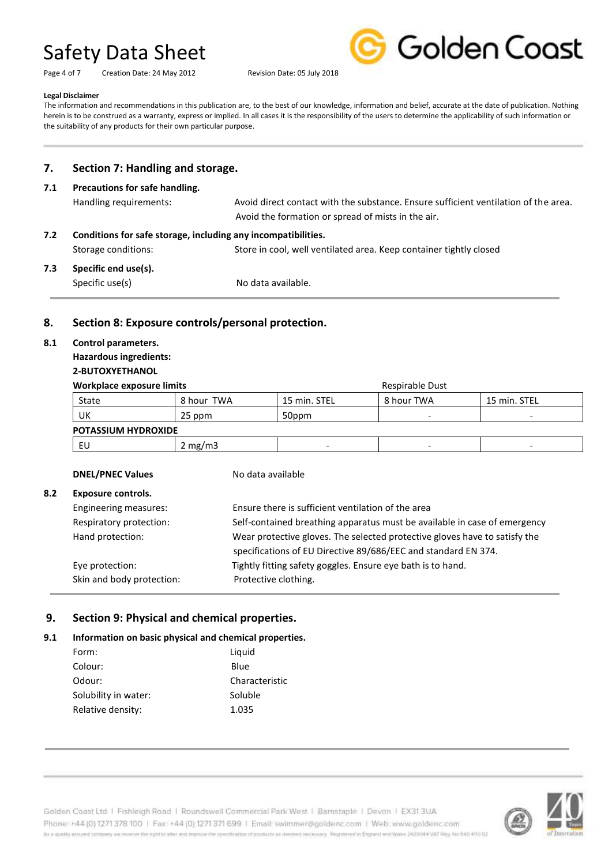Page 4 of 7 Creation Date: 24 May 2012 Revision Date: 05 July 2018



#### **Legal Disclaimer**

The information and recommendations in this publication are, to the best of our knowledge, information and belief, accurate at the date of publication. Nothing herein is to be construed as a warranty, express or implied. In all cases it is the responsibility of the users to determine the applicability of such information or the suitability of any products for their own particular purpose.

# **7. Section 7: Handling and storage.**

# **7.1 Precautions for safe handling.** Handling requirements: Avoid direct contact with the substance. Ensure sufficient ventilation of the area. Avoid the formation or spread of mists in the air. **7.2 Conditions for safe storage, including any incompatibilities.** Storage conditions: Store in cool, well ventilated area. Keep container tightly closed **7.3 Specific end use(s).** Specific use(s) No data available.

# **8. Section 8: Exposure controls/personal protection.**

### **8.1 Control parameters.**

#### **Hazardous ingredients: 2-BUTOXYETHANOL**

# **Workplace exposure limits** Respirable Dust

| <u>WUI KUIDLE EXPOSUI E IIIIIIIIS</u> |            |              | <u>NESPILADIE DUSL</u> |              |  |
|---------------------------------------|------------|--------------|------------------------|--------------|--|
| State                                 | 8 hour TWA | 15 min. STEL | 8 hour TWA             | 15 min. STEL |  |
| UK                                    | 25 ppm     | 50ppm        |                        |              |  |
| <b>POTASSIUM HYDROXIDE</b>            |            |              |                        |              |  |
| -EU                                   | 2 mg/m $3$ |              |                        |              |  |

#### **DNEL/PNEC Values** No data available

# **8.2 Exposure controls.**

Engineering measures: Ensure there is sufficient ventilation of the area Respiratory protection: Self-contained breathing apparatus must be available in case of emergency Hand protection: Wear protective gloves. The selected protective gloves have to satisfy the specifications of EU Directive 89/686/EEC and standard EN 374. Eye protection: Tightly fitting safety goggles. Ensure eye bath is to hand. Skin and body protection: Protective clothing.

# **9. Section 9: Physical and chemical properties.**

# **9.1 Information on basic physical and chemical properties.**

| Form:                | Liguid         |
|----------------------|----------------|
| Colour:              | Blue           |
| Odour:               | Characteristic |
| Solubility in water: | Soluble        |
| Relative density:    | 1.035          |

Golden Coast Ltd | Fishleigh Road | Roundswell Commercial Park West | Barnstaple | Devon | EX313UA Phone: +44 (0) 1271 378 100 | Fax: +44 (0) 1271 371 699 | Email: swimmer@goldenc.com | Web: www.goldenc.com As a quality annumel company we renewe the right to aller wid improve the specification of products as deemed recessory. Registered in England and Wales 2420044 VAT Reg. No 540-410 02

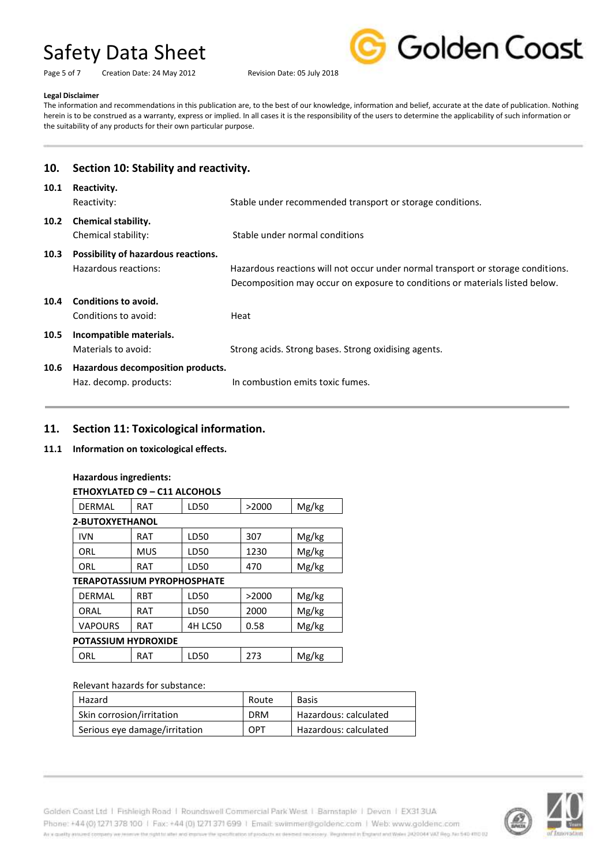Page 5 of 7 Creation Date: 24 May 2012 Revision Date: 05 July 2018



#### **Legal Disclaimer**

The information and recommendations in this publication are, to the best of our knowledge, information and belief, accurate at the date of publication. Nothing herein is to be construed as a warranty, express or implied. In all cases it is the responsibility of the users to determine the applicability of such information or the suitability of any products for their own particular purpose.

| 10.  | Section 10: Stability and reactivity.                       |                                                                                                                                                                  |
|------|-------------------------------------------------------------|------------------------------------------------------------------------------------------------------------------------------------------------------------------|
| 10.1 | Reactivity.<br>Reactivity:                                  | Stable under recommended transport or storage conditions.                                                                                                        |
| 10.2 | <b>Chemical stability.</b><br>Chemical stability:           | Stable under normal conditions                                                                                                                                   |
| 10.3 | Possibility of hazardous reactions.<br>Hazardous reactions: | Hazardous reactions will not occur under normal transport or storage conditions.<br>Decomposition may occur on exposure to conditions or materials listed below. |
| 10.4 | Conditions to avoid.<br>Conditions to avoid:                | Heat                                                                                                                                                             |
| 10.5 | Incompatible materials.<br>Materials to avoid:              | Strong acids. Strong bases. Strong oxidising agents.                                                                                                             |
| 10.6 | Hazardous decomposition products.<br>Haz. decomp. products: | In combustion emits toxic fumes.                                                                                                                                 |

# **11. Section 11: Toxicological information.**

# **11.1 Information on toxicological effects.**

# **Hazardous ingredients:**

| ETHOXYLATED C9 - C11 ALCOHOLS      |            |                |       |       |
|------------------------------------|------------|----------------|-------|-------|
| DERMAL                             | RAT        | LD50           | >2000 | Mg/kg |
| <b>2-BUTOXYETHANOL</b>             |            |                |       |       |
| <b>IVN</b>                         | RAT        | LD50           | 307   | Mg/kg |
| ORL                                | MUS        | LD50           | 1230  | Mg/kg |
| ORL                                | RAT        | LD50           | 470   | Mg/kg |
| <b>TERAPOTASSIUM PYROPHOSPHATE</b> |            |                |       |       |
| DERMAL                             | <b>RBT</b> | LD50           | >2000 | Mg/kg |
| ORAL                               | RAT        | LD50           | 2000  | Mg/kg |
| VAPOURS                            | RAT        | <b>4H LC50</b> | 0.58  | Mg/kg |
| <b>POTASSIUM HYDROXIDE</b>         |            |                |       |       |
|                                    |            |                |       |       |

| ORL | RAT | ∟D50 | ٠<br>- 1 | Mg/kg |
|-----|-----|------|----------|-------|
|     |     |      |          |       |

#### Relevant hazards for substance:

| Hazard                        | Route      | Basis                 |
|-------------------------------|------------|-----------------------|
| Skin corrosion/irritation     | <b>DRM</b> | Hazardous: calculated |
| Serious eye damage/irritation | OPT        | Hazardous: calculated |

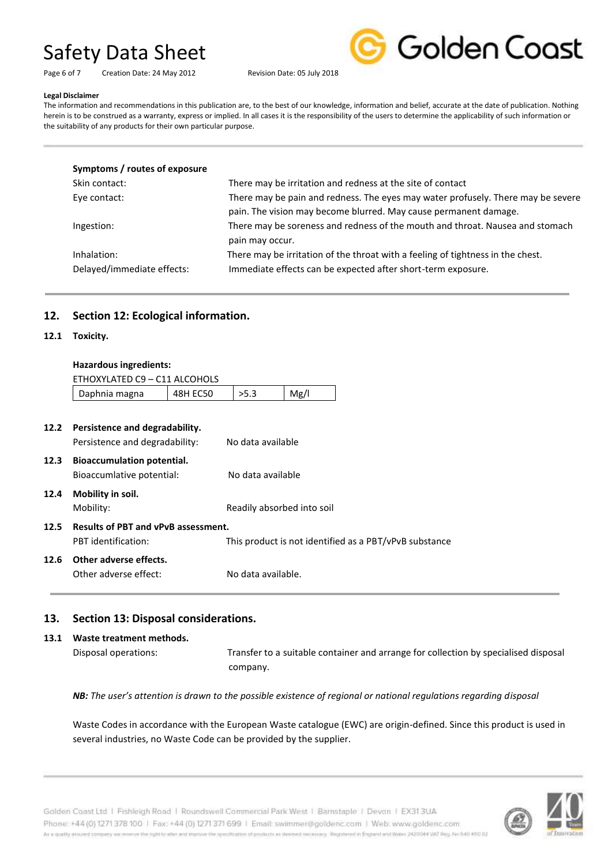Golden Coast

Page 6 of 7 Creation Date: 24 May 2012 Revision Date: 05 July 2018

#### **Legal Disclaimer**

The information and recommendations in this publication are, to the best of our knowledge, information and belief, accurate at the date of publication. Nothing herein is to be construed as a warranty, express or implied. In all cases it is the responsibility of the users to determine the applicability of such information or the suitability of any products for their own particular purpose.

| Symptoms / routes of exposure             |                                                                                                                                                      |
|-------------------------------------------|------------------------------------------------------------------------------------------------------------------------------------------------------|
| Skin contact:                             | There may be irritation and redness at the site of contact                                                                                           |
| Eye contact:                              | There may be pain and redness. The eyes may water profusely. There may be severe<br>pain. The vision may become blurred. May cause permanent damage. |
| Ingestion:                                | There may be soreness and redness of the mouth and throat. Nausea and stomach<br>pain may occur.                                                     |
| Inhalation:<br>Delayed/immediate effects: | There may be irritation of the throat with a feeling of tightness in the chest.<br>Immediate effects can be expected after short-term exposure.      |

# **12. Section 12: Ecological information.**

### **12.1 Toxicity.**

| <b>Hazardous ingredients:</b> |  |
|-------------------------------|--|
|-------------------------------|--|

|      | ETHOXYLATED C9 - C11 ALCOHOLS              |                 |                            |      |                                                        |  |
|------|--------------------------------------------|-----------------|----------------------------|------|--------------------------------------------------------|--|
|      | Daphnia magna                              | <b>48H EC50</b> | >5.3                       | Mg/l |                                                        |  |
|      |                                            |                 |                            |      |                                                        |  |
| 12.2 | Persistence and degradability.             |                 |                            |      |                                                        |  |
|      | Persistence and degradability:             |                 | No data available          |      |                                                        |  |
| 12.3 | <b>Bioaccumulation potential.</b>          |                 |                            |      |                                                        |  |
|      | Bioaccumlative potential:                  |                 | No data available          |      |                                                        |  |
| 12.4 | Mobility in soil.                          |                 |                            |      |                                                        |  |
|      | Mobility:                                  |                 | Readily absorbed into soil |      |                                                        |  |
| 12.5 | <b>Results of PBT and vPvB assessment.</b> |                 |                            |      |                                                        |  |
|      | PBT identification:                        |                 |                            |      | This product is not identified as a PBT/vPvB substance |  |
| 12.6 | Other adverse effects.                     |                 |                            |      |                                                        |  |
|      | Other adverse effect:                      |                 | No data available.         |      |                                                        |  |
|      |                                            |                 |                            |      |                                                        |  |

# **13. Section 13: Disposal considerations.**

# **13.1 Waste treatment methods.** Disposal operations: Transfer to a suitable container and arrange for collection by specialised disposal company.

*NB: The user's attention is drawn to the possible existence of regional or national regulations regarding disposal*

Waste Codes in accordance with the European Waste catalogue (EWC) are origin-defined. Since this product is used in several industries, no Waste Code can be provided by the supplier.